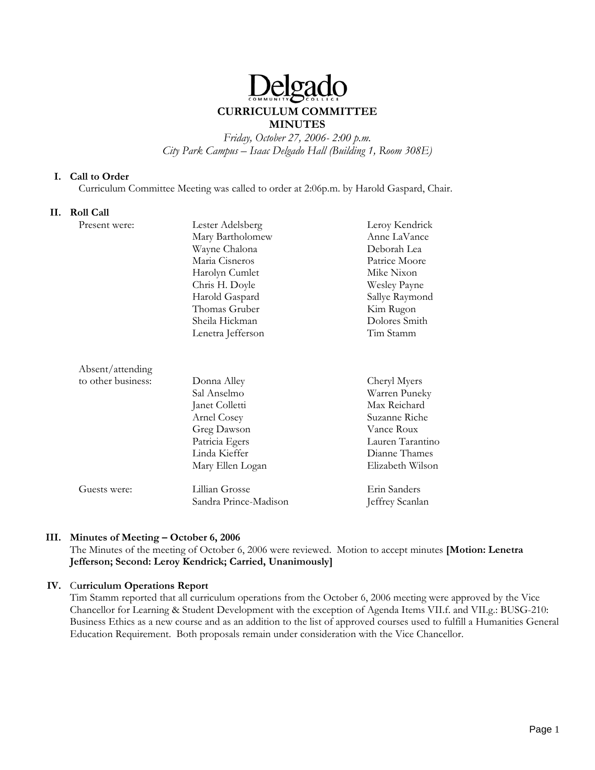# eload

## **CURRICULUM COMMITTEE MINUTES**

*Friday, October 27, 2006- 2:00 p.m. City Park Campus – Isaac Delgado Hall (Building 1, Room 308E)* 

#### **I. Call to Order**

Curriculum Committee Meeting was called to order at 2:06p.m. by Harold Gaspard, Chair.

#### **II. Roll Call**

| Present were:      | Lester Adelsberg      | Leroy Kendrick   |
|--------------------|-----------------------|------------------|
|                    | Mary Bartholomew      | Anne LaVance     |
|                    | Wayne Chalona         | Deborah Lea      |
|                    | Maria Cisneros        | Patrice Moore    |
|                    | Harolyn Cumlet        | Mike Nixon       |
|                    | Chris H. Doyle        | Wesley Payne     |
|                    | Harold Gaspard        | Sallye Raymond   |
|                    | Thomas Gruber         | Kim Rugon        |
|                    | Sheila Hickman        | Dolores Smith    |
|                    | Lenetra Jefferson     | Tim Stamm        |
|                    |                       |                  |
| Absent/attending   |                       |                  |
| to other business: | Donna Alley           | Cheryl Myers     |
|                    | Sal Anselmo           | Warren Puneky    |
|                    | Janet Colletti        | Max Reichard     |
|                    | Arnel Cosey           | Suzanne Riche    |
|                    | Greg Dawson           | Vance Roux       |
|                    | Patricia Egers        | Lauren Tarantino |
|                    | Linda Kieffer         | Dianne Thames    |
|                    | Mary Ellen Logan      | Elizabeth Wilson |
| Guests were:       | Lillian Grosse        | Erin Sanders     |
|                    | Sandra Prince-Madison | Jeffrey Scanlan  |

## **III. Minutes of Meeting – October 6, 2006**

The Minutes of the meeting of October 6, 2006 were reviewed. Motion to accept minutes **[Motion: Lenetra Jefferson; Second: Leroy Kendrick; Carried, Unanimously]**

#### **IV.** C**urriculum Operations Report**

Tim Stamm reported that all curriculum operations from the October 6, 2006 meeting were approved by the Vice Chancellor for Learning & Student Development with the exception of Agenda Items VII.f. and VII.g.: BUSG-210: Business Ethics as a new course and as an addition to the list of approved courses used to fulfill a Humanities General Education Requirement. Both proposals remain under consideration with the Vice Chancellor.